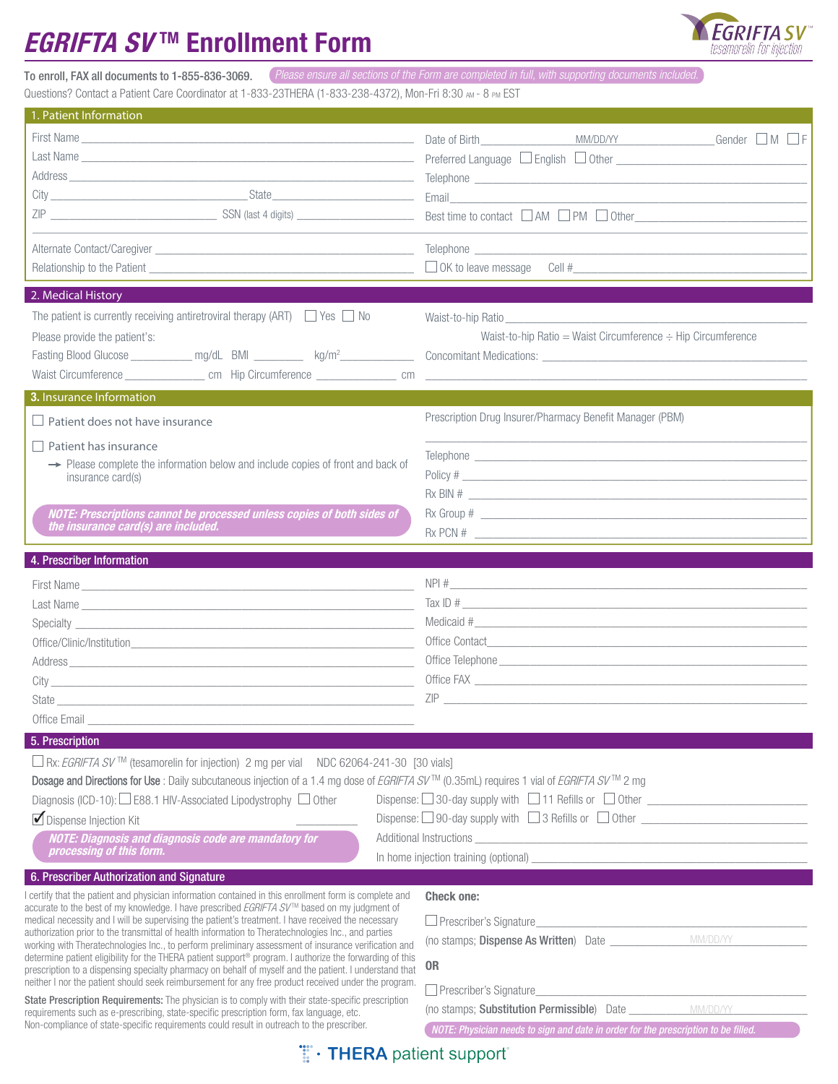## *EGRIFTA SV*™ Enrollment Form



To enroll, FAX all documents to 1-855-836-3069. *Please ensure all sections of the Form are completed in full, with supporting documents included.*

Questions? Contact a Patient Care Coordinator at 1-833-23THERA (1-833-238-4372), Mon-Fri 8:30 AM - 8 PM EST

| 1. Patient Information                                                                                                                                                                                                                                                                                                                                                                                                                                                                                                                                                                                                                                                                                                                                                                                                                                               |                                                                                                                                                                                                                                                                                                                |  |  |
|----------------------------------------------------------------------------------------------------------------------------------------------------------------------------------------------------------------------------------------------------------------------------------------------------------------------------------------------------------------------------------------------------------------------------------------------------------------------------------------------------------------------------------------------------------------------------------------------------------------------------------------------------------------------------------------------------------------------------------------------------------------------------------------------------------------------------------------------------------------------|----------------------------------------------------------------------------------------------------------------------------------------------------------------------------------------------------------------------------------------------------------------------------------------------------------------|--|--|
| City State State State State State State State State State State State State State State State State State State State State State State State State State State State State State State State State State State State State S                                                                                                                                                                                                                                                                                                                                                                                                                                                                                                                                                                                                                                       | Date of Birth MM/DD/YY<br>Gender $\Box$ M $\Box$ F<br>Best time to contact $\Box$ AM $\Box$ PM $\Box$ Other                                                                                                                                                                                                    |  |  |
|                                                                                                                                                                                                                                                                                                                                                                                                                                                                                                                                                                                                                                                                                                                                                                                                                                                                      |                                                                                                                                                                                                                                                                                                                |  |  |
| 2. Medical History                                                                                                                                                                                                                                                                                                                                                                                                                                                                                                                                                                                                                                                                                                                                                                                                                                                   |                                                                                                                                                                                                                                                                                                                |  |  |
| The patient is currently receiving antiretroviral therapy (ART) $\Box$ Yes $\Box$ No<br>Please provide the patient's:                                                                                                                                                                                                                                                                                                                                                                                                                                                                                                                                                                                                                                                                                                                                                | Waist-to-hip Ratio<br>Waist-to-hip Ratio = Waist Circumference $\div$ Hip Circumference                                                                                                                                                                                                                        |  |  |
| 3. Insurance Information                                                                                                                                                                                                                                                                                                                                                                                                                                                                                                                                                                                                                                                                                                                                                                                                                                             |                                                                                                                                                                                                                                                                                                                |  |  |
| $\Box$ Patient does not have insurance                                                                                                                                                                                                                                                                                                                                                                                                                                                                                                                                                                                                                                                                                                                                                                                                                               | Prescription Drug Insurer/Pharmacy Benefit Manager (PBM)                                                                                                                                                                                                                                                       |  |  |
| Patient has insurance<br>$\rightarrow$ Please complete the information below and include copies of front and back of<br>insurance card(s)<br>NOTE: Prescriptions cannot be processed unless copies of both sides of<br>the insurance card(s) are included.                                                                                                                                                                                                                                                                                                                                                                                                                                                                                                                                                                                                           | Telephone and the contract of the contract of the contract of the contract of the contract of the contract of<br>Policy #                                                                                                                                                                                      |  |  |
|                                                                                                                                                                                                                                                                                                                                                                                                                                                                                                                                                                                                                                                                                                                                                                                                                                                                      |                                                                                                                                                                                                                                                                                                                |  |  |
| 4. Prescriber Information                                                                                                                                                                                                                                                                                                                                                                                                                                                                                                                                                                                                                                                                                                                                                                                                                                            |                                                                                                                                                                                                                                                                                                                |  |  |
|                                                                                                                                                                                                                                                                                                                                                                                                                                                                                                                                                                                                                                                                                                                                                                                                                                                                      | $NPI # \_$                                                                                                                                                                                                                                                                                                     |  |  |
|                                                                                                                                                                                                                                                                                                                                                                                                                                                                                                                                                                                                                                                                                                                                                                                                                                                                      | $\frac{1}{2}$ Tax ID #                                                                                                                                                                                                                                                                                         |  |  |
|                                                                                                                                                                                                                                                                                                                                                                                                                                                                                                                                                                                                                                                                                                                                                                                                                                                                      |                                                                                                                                                                                                                                                                                                                |  |  |
|                                                                                                                                                                                                                                                                                                                                                                                                                                                                                                                                                                                                                                                                                                                                                                                                                                                                      |                                                                                                                                                                                                                                                                                                                |  |  |
|                                                                                                                                                                                                                                                                                                                                                                                                                                                                                                                                                                                                                                                                                                                                                                                                                                                                      |                                                                                                                                                                                                                                                                                                                |  |  |
|                                                                                                                                                                                                                                                                                                                                                                                                                                                                                                                                                                                                                                                                                                                                                                                                                                                                      | $\mathsf{ZIP}$ $\blacksquare$                                                                                                                                                                                                                                                                                  |  |  |
| Office Email                                                                                                                                                                                                                                                                                                                                                                                                                                                                                                                                                                                                                                                                                                                                                                                                                                                         |                                                                                                                                                                                                                                                                                                                |  |  |
| 5. Prescription                                                                                                                                                                                                                                                                                                                                                                                                                                                                                                                                                                                                                                                                                                                                                                                                                                                      |                                                                                                                                                                                                                                                                                                                |  |  |
| □ Rx: <i>EGRIFTA SV</i> ™ (tesamorelin for injection) 2 mg per vial NDC 62064-241-30 [30 vials]<br>Dosage and Directions for Use : Daily subcutaneous injection of a 1.4 mg dose of EGRIFTA SV™ (0.35mL) requires 1 vial of EGRIFTA SV™ 2 mg<br>Diagnosis (ICD-10): $\Box$ E88.1 HIV-Associated Lipodystrophy $\Box$ Other<br>Dispense Injection Kit<br><b>NOTE: Diagnosis and diagnosis code are mandatory for</b><br>processing of this form.                                                                                                                                                                                                                                                                                                                                                                                                                      | Dispense: $\Box$ 30-day supply with $\Box$ 11 Refills or $\Box$ Other $\Box$<br>In home injection training (optional) example and the state of the state of the state of the state of the state of the state of the state of the state of the state of the state of the state of the state of the state of the |  |  |
| 6. Prescriber Authorization and Signature                                                                                                                                                                                                                                                                                                                                                                                                                                                                                                                                                                                                                                                                                                                                                                                                                            |                                                                                                                                                                                                                                                                                                                |  |  |
| I certify that the patient and physician information contained in this enrollment form is complete and<br>accurate to the best of my knowledge. I have prescribed EGRIFTA SV™ based on my judgment of<br>medical necessity and I will be supervising the patient's treatment. I have received the necessary<br>authorization prior to the transmittal of health information to Theratechnologies Inc., and parties<br>working with Theratechnologies Inc., to perform preliminary assessment of insurance verification and<br>determine patient eligibility for the THERA patient support <sup>®</sup> program. I authorize the forwarding of this<br>prescription to a dispensing specialty pharmacy on behalf of myself and the patient. I understand that<br>neither I nor the patient should seek reimbursement for any free product received under the program. | <b>Check one:</b><br><b>OR</b>                                                                                                                                                                                                                                                                                 |  |  |
| State Prescription Requirements: The physician is to comply with their state-specific prescription<br>requirements such as e-prescribing, state-specific prescription form, fax language, etc.<br>Non-compliance of state-specific requirements could result in outreach to the prescriber.                                                                                                                                                                                                                                                                                                                                                                                                                                                                                                                                                                          | (no stamps; Substitution Permissible) Date MM/DD/YY<br>NOTE: Physician needs to sign and date in order for the prescription to be filled.                                                                                                                                                                      |  |  |
| <b>THERA</b> patient support                                                                                                                                                                                                                                                                                                                                                                                                                                                                                                                                                                                                                                                                                                                                                                                                                                         |                                                                                                                                                                                                                                                                                                                |  |  |